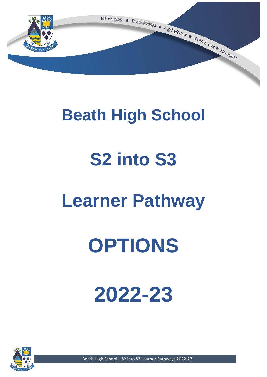

# **Beath High School**

# **S2 into S3**

# **Learner Pathway**

# **OPTIONS**

# **2022-23**



Beath High School – S2 into S3 Learner Pathways 2022-23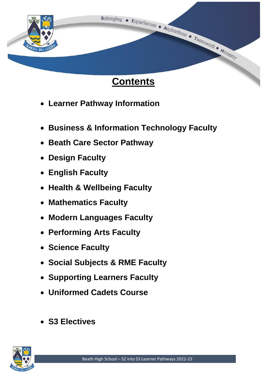

- **Learner Pathway Information**
- **Business & Information Technology Faculty**
- **Beath Care Sector Pathway**
- **Design Faculty**
- **English Faculty**
- **Health & Wellbeing Faculty**
- **Mathematics Faculty**
- **Modern Languages Faculty**
- **Performing Arts Faculty**
- **Science Faculty**
- **Social Subjects & RME Faculty**
- **Supporting Learners Faculty**
- **Uniformed Cadets Course**
- **S3 Electives**

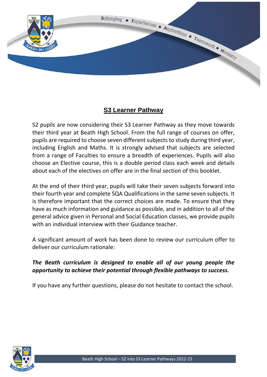

# **S3 Learner Pathway**

S2 pupils are now considering their S3 Learner Pathway as they move towards their third year at Beath High School. From the full range of courses on offer, pupils are required to choose seven different subjects to study during third year, including English and Maths. It is strongly advised that subjects are selected from a range of Faculties to ensure a breadth of experiences. Pupils will also choose an Elective course, this is a double period class each week and details about each of the electives on offer are in the final section of this booklet.

At the end of their third year, pupils will take their seven subjects forward into their fourth year and complete SQA Qualifications in the same seven subjects. It is therefore important that the correct choices are made. To ensure that they have as much information and guidance as possible, and in addition to all of the general advice given in Personal and Social Education classes, we provide pupils with an individual interview with their Guidance teacher.

A significant amount of work has been done to review our curriculum offer to deliver our curriculum rationale:

# *The Beath curriculum is designed to enable all of our young people the opportunity to achieve their potential through flexible pathways to success.*

If you have any further questions, please do not hesitate to contact the school.

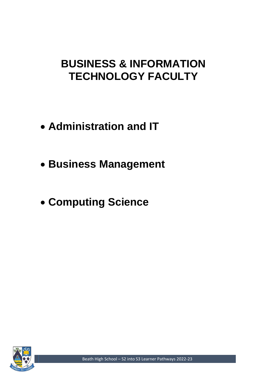# **BUSINESS & INFORMATION TECHNOLOGY FACULTY**

- **Administration and IT**
- **Business Management**
- **Computing Science**



Beath High School – S2 into S3 Learner Pathways 2022-23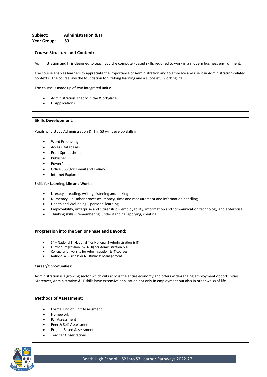Administration and IT is designed to teach you the computer-based skills required to work in a modern business environment.

The course enables learners to appreciate the importance of Administration and to embrace and use it in Administration-related contexts. The course lays the foundation for lifelong learning and a successful working life.

The course is made up of two integrated units:

- Administration Theory in the Workplace
- IT Applications

#### **Skills Development:**

Pupils who study Administration & IT in S3 will develop skills in:

- Word Processing
- Access Databases
- Excel Spreadsheets
- Publisher
- PowerPoint
- Office 365 (for E-mail and E-diary)
- Internet Explorer

#### **Skills for Learning, Life and Work :**

- Literacy reading, writing, listening and talking
- Numeracy number processes, money, time and measurement and information handling
- Health and Wellbeing personal learning
- Employability, enterprise and citizenship employability, information and communication technology and enterprise
- Thinking skills remembering, understanding, applying, creating

#### **Progression into the Senior Phase and Beyond:**

- S4 National 3, National 4 or National 5 Administration & IT
- Further Progression S5/S6 Higher Administration & IT
- College or University for Administration & IT courses
- National 4 Business or N5 Business Management

#### **Career/Opportunities:**

Administration is a growing sector which cuts across the entire economy and offers wide-ranging employment opportunities. Moreover, Administrative & IT skills have extensive application not only in employment but also in other walks of life.

- Formal End of Unit Assessment
- Homework
- ICT Assessment
- Peer & Self-Assessment
- Project Based Assessment
- Teacher Observations

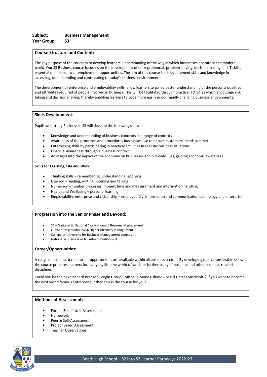The key purpose of the course is to develop learners' understanding of the way in which businesses operate in the modern world. Our S3 Business course focusses on the development of entrepreneurial, problem solving, decision making and IT skills, essential to enhance your employment opportunities. The aim of this course is to development skills and knowledge in accessing, understanding and contributing to today's business environment.

The development of enterprise and employability skills, allow learners to gain a better understanding of the personal qualities and attributes required of people involved in business. This will be facilitated through practical activities which encourage risk taking and decision making, thereby enabling learners to cope more easily in our rapidly changing business environments.

#### **Skills Development:**

Pupils who study Business in S3 will develop the following skills:

- Knowledge and understanding of business concepts in a range of contexts
- Awareness of the processes and procedures businesses use to ensure customers' needs are met
- Enterprising skills by participating in practical activities in realistic business situations
- Financial awareness through a business context
- An insight into the impact of the economy on businesses and our daily lives, gaining economic awareness

#### **Skills for Learning, Life and Work :**

- Thinking skills remembering, understanding, applying
- Literacy reading, writing, listening and talking
- Numeracy number processes, money, time and measurement and information handling
- Health and Wellbeing personal learning
- Employability, enterprise and citizenship employability, information and communication technology and enterprise

#### **Progression into the Senior Phase and Beyond:**

- S4 National 3, National 4 or National 5 Business Management
- Further Progression S5/S6 Higher Business Management
- College or University for Business Management courses
- National 4 Business or N5 Administration & IT

#### **Career/Opportunities:**

A range of business-based career opportunities are available within all business sectors. By developing many transferable skills, the course prepares learners for everyday life, the world of work, or further study of business and other business-related disciplines.

Could you be the next Richard Branson (Virgin Group), Michelle Mone (Ultimo), or Bill Gates (Microsoft)? If you want to become the next world famous entrepreneur then this is the course for you!

- Formal End of Unit Assessment
- **Homework**
- Peer & Self-Assessment
- Project Based Assessment
- **Teacher Observations**

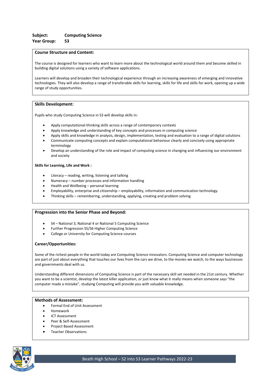The course is designed for learners who want to learn more about the technological world around them and become skilled in building digital solutions using a variety of software applications.

Learners will develop and broaden their technological experience through an increasing awareness of emerging and innovative technologies. They will also develop a range of transferable skills for learning, skills for life and skills for work, opening up a wide range of study opportunities.

#### **Skills Development:**

Pupils who study Computing Science in S3 will develop skills in:

- Apply computational-thinking skills across a range of contemporary contexts
- Apply knowledge and understanding of key concepts and processes in computing science
- Apply skills and knowledge in analysis, design, implementation, testing and evaluation to a range of digital solutions
- Communicate computing concepts and explain computational behaviour clearly and concisely using appropriate terminology
- Develop an understanding of the role and impact of computing science in changing and influencing our environment and society

#### **Skills for Learning, Life and Work :**

- Literacy reading, writing, listening and talking
- Numeracy number processes and information handling
- Health and Wellbeing personal learning
- Employability, enterprise and citizenship employability, information and communication technology
- Thinking skills remembering, understanding, applying, creating and problem solving

#### **Progression into the Senior Phase and Beyond:**

- S4 National 3, National 4 or National 5 Computing Science
- Further Progression S5/S6 Higher Computing Science
- College or University for Computing Science courses

#### **Career/Opportunities:**

Some of the richest people in the world today are Computing Science innovators. Computing Science and computer technology are part of just about everything that touches our lives from the cars we drive, to the movies we watch, to the ways businesses and governments deal with us.

Understanding different dimensions of Computing Science is part of the necessary skill set needed in the 21st century. Whether you want to be a scientist, develop the latest killer application, or just know what it really means when someone says "the computer made a mistake", studying Computing will provide you with valuable knowledge.

- Formal End of Unit Assessment
- Homework
- ICT Assessment
- Peer & Self-Assessment
- Project Based Assessment
- Teacher Observations

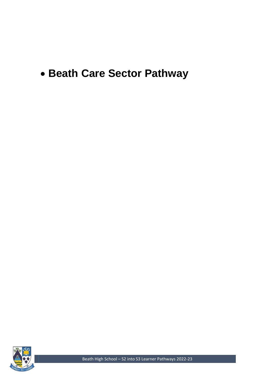# • **Beath Care Sector Pathway**



Beath High School – S2 into S3 Learner Pathways 2022-23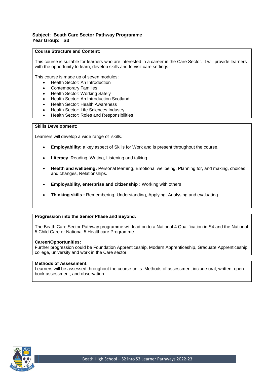# **Subject: Beath Care Sector Pathway Programme Year Group: S3**

# **Course Structure and Content:**

This course is suitable for learners who are interested in a career in the Care Sector. It will provide learners with the opportunity to learn, develop skills and to visit care settings.

This course is made up of seven modules:

- Health Sector: An Introduction
- **Contemporary Families**
- Health Sector: Working Safely
- Health Sector: An Introduction Scotland
- Health Sector: Health Awareness
- Health Sector: Life Sciences Industry
- Health Sector: Roles and Responsibilities

# **Skills Development:**

Learners will develop a wide range of skills.

- **Employability:** a key aspect of Skills for Work and is present throughout the course.
- **Literacy** Reading, Writing, Listening and talking.
- **Health and wellbeing:** Personal learning, Emotional wellbeing, Planning for, and making, choices and changes, Relationships.
- **Employability, enterprise and citizenship :** Working with others
- **Thinking skills :** Remembering, Understanding, Applying, Analysing and evaluating

# **Progression into the Senior Phase and Beyond:**

The Beath Care Sector Pathway programme will lead on to a National 4 Qualification in S4 and the National 5 Child Care or National 5 Healthcare Programme.

#### **Career/Opportunities:**

Further progression could be Foundation Apprenticeship, Modern Apprenticeship, Graduate Apprenticeship, college, university and work in the Care sector.

# **Methods of Assessment:**

Learners will be assessed throughout the course units. Methods of assessment include oral, written, open book assessment, and observation.

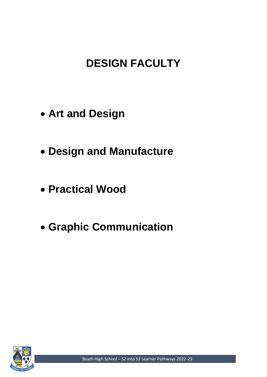# **DESIGN FACULTY**

- **Art and Design**
- **Design and Manufacture**
- **Practical Wood**
- **Graphic Communication**



Beath High School – S2 into S3 Learner Pathways 2022-23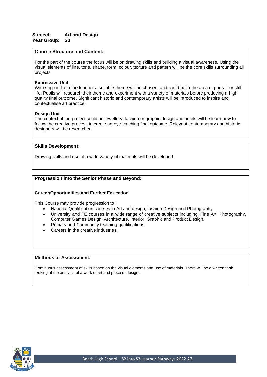For the part of the course the focus will be on drawing skills and building a visual awareness. Using the visual elements of line, tone, shape, form, colour, texture and pattern will be the core skills surrounding all projects.

# **Expressive Unit**

With support from the teacher a suitable theme will be chosen, and could be in the area of portrait or still life. Pupils will research their theme and experiment with a variety of materials before producing a high quality final outcome. Significant historic and contemporary artists will be introduced to inspire and contextualise art practice.

# **Design Unit**

The context of the project could be jewellery, fashion or graphic design and pupils will be learn how to follow the creative process to create an eye-catching final outcome. Relevant contemporary and historic designers will be researched.

# **Skills Development:**

Drawing skills and use of a wide variety of materials will be developed.

# **Progression into the Senior Phase and Beyond:**

# **Career/Opportunities and Further Education**

This Course may provide progression to:

- National Qualification courses in Art and design, fashion Design and Photography.
- University and FE courses in a wide range of creative subjects including: Fine Art, Photography, Computer Games Design, Architecture, Interior, Graphic and Product Design.
- Primary and Community teaching qualifications
- Careers in the creative industries.

# **Methods of Assessment:**

Continuous assessment of skills based on the visual elements and use of materials. There will be a written task looking at the analysis of a work of art and piece of design.

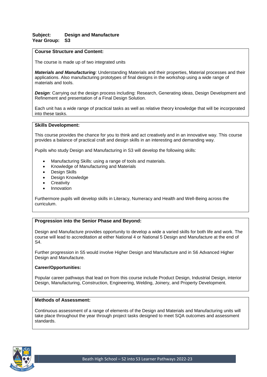# **Subject: Design and Manufacture Year Group: S3**

# **Course Structure and Content:**

The course is made up of two integrated units

*Materials and Manufacturing:* Understanding Materials and their properties, Material processes and their applications. Also manufacturing prototypes of final designs in the workshop using a wide range of materials and tools.

*Design:* Carrying out the design process including: Research, Generating ideas, Design Development and Refinement and presentation of a Final Design Solution.

Each unit has a wide range of practical tasks as well as relative theory knowledge that will be incorporated into these tasks.

# **Skills Development:**

This course provides the chance for you to think and act creatively and in an innovative way. This course provides a balance of practical craft and design skills in an interesting and demanding way.

Pupils who study Design and Manufacturing in S3 will develop the following skills:

- Manufacturing Skills: using a range of tools and materials.
- Knowledge of Manufacturing and Materials
- Design Skills
- Design Knowledge
- **Creativity**
- **Innovation**

Furthermore pupils will develop skills in Literacy, Numeracy and Health and Well-Being across the curriculum.

# **Progression into the Senior Phase and Beyond:**

Design and Manufacture provides opportunity to develop a wide a varied skills for both life and work. The course will lead to accreditation at either National 4 or National 5 Design and Manufacture at the end of S4.

Further progression in S5 would involve Higher Design and Manufacture and in S6 Advanced Higher Design and Manufacture.

#### **Career/Opportunities:**

Popular career pathways that lead on from this course include Product Design, Industrial Design, interior Design, Manufacturing, Construction, Engineering, Welding, Joinery, and Property Development.

### **Methods of Assessment:**

Continuous assessment of a range of elements of the Design and Materials and Manufacturing units will take place throughout the year through project tasks designed to meet SQA outcomes and assessment standards.

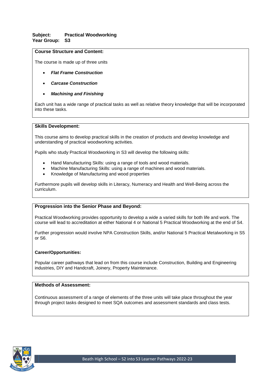# **Subject: Practical Woodworking Year Group: S3**

# **Course Structure and Content:**

The course is made up of three units

- *Flat Frame Construction*
- *Carcase Construction*
- *Machining and Finishing*

Each unit has a wide range of practical tasks as well as relative theory knowledge that will be incorporated into these tasks.

## **Skills Development:**

This course aims to develop practical skills in the creation of products and develop knowledge and understanding of practical woodworking activities.

Pupils who study Practical Woodworking in S3 will develop the following skills:

- Hand Manufacturing Skills: using a range of tools and wood materials.
- Machine Manufacturing Skills: using a range of machines and wood materials.
- Knowledge of Manufacturing and wood properties

Furthermore pupils will develop skills in Literacy, Numeracy and Health and Well-Being across the curriculum.

# **Progression into the Senior Phase and Beyond:**

Practical Woodworking provides opportunity to develop a wide a varied skills for both life and work. The course will lead to accreditation at either National 4 or National 5 Practical Woodworking at the end of S4.

Further progression would involve NPA Construction Skills, and/or National 5 Practical Metalworking in S5 or S6.

# **Career/Opportunities:**

Popular career pathways that lead on from this course include Construction, Building and Engineering industries, DIY and Handcraft, Joinery, Property Maintenance.

## **Methods of Assessment:**

Continuous assessment of a range of elements of the three units will take place throughout the year through project tasks designed to meet SQA outcomes and assessment standards and class tests.

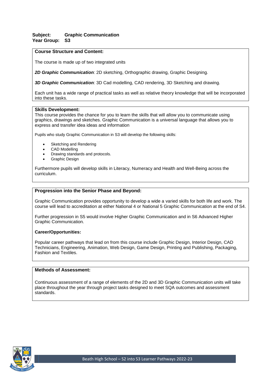# **Subject: Graphic Communication Year Group: S3**

# **Course Structure and Content:**

The course is made up of two integrated units

*2D Graphic Communication:* 2D sketching, Orthographic drawing, Graphic Designing.

*3D Graphic Communication:* 3D Cad modelling, CAD rendering, 3D Sketching and drawing.

Each unit has a wide range of practical tasks as well as relative theory knowledge that will be incorporated into these tasks.

#### **Skills Development:**

This course provides the chance for you to learn the skills that will allow you to communicate using graphics, drawings and sketches. Graphic Communication is a universal language that allows you to express and transfer idea ideas and information

Pupils who study Graphic Communication in S3 will develop the following skills:

- Sketching and Rendering
- CAD Modelling
- Drawing standards and protocols.
- Graphic Design

Furthermore pupils will develop skills in Literacy, Numeracy and Health and Well-Being across the curriculum.

# **Progression into the Senior Phase and Beyond:**

Graphic Communication provides opportunity to develop a wide a varied skills for both life and work. The course will lead to accreditation at either National 4 or National 5 Graphic Communication at the end of S4.

Further progression in S5 would involve Higher Graphic Communication and in S6 Advanced Higher Graphic Communication.

#### **Career/Opportunities:**

Popular career pathways that lead on from this course include Graphic Design, Interior Design, CAD Technicians, Engineering, Animation, Web Design, Game Design, Printing and Publishing, Packaging, Fashion and Textiles.

#### **Methods of Assessment:**

Continuous assessment of a range of elements of the 2D and 3D Graphic Communication units will take place throughout the year through project tasks designed to meet SQA outcomes and assessment standards.

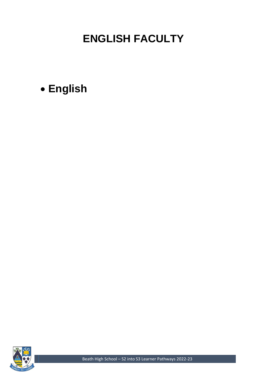# **ENGLISH FACULTY**

• **English**



Beath High School – S2 into S3 Learner Pathways 2022-23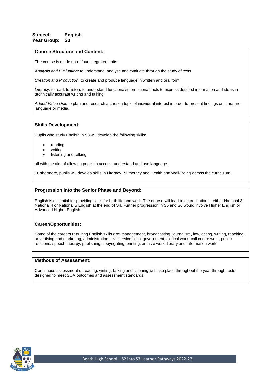# **Subject: English Year Group: S3**

## **Course Structure and Content:**

The course is made up of four integrated units:

*Analysis and Evaluation:* to understand, analyse and evaluate through the study of texts

*Creation and Production:* to create and produce language in written and oral form

*Literacy:* to read, to listen, to understand functional/informational texts to express detailed information and ideas in technically accurate writing and talking

*Added Value Unit:* to plan and research a chosen topic of individual interest in order to present findings on literature, language or media.

#### **Skills Development:**

Pupils who study English in S3 will develop the following skills:

- reading
- writing
- listening and talking

all with the aim of allowing pupils to access, understand and use language.

Furthermore, pupils will develop skills in Literacy, Numeracy and Health and Well-Being across the curriculum.

## **Progression into the Senior Phase and Beyond:**

English is essential for providing skills for both life and work. The course will lead to accreditation at either National 3, National 4 or National 5 English at the end of S4. Further progression in S5 and S6 would involve Higher English or Advanced Higher English.

# **Career/Opportunities:**

Some of the careers requiring English skills are: management, broadcasting, journalism, law, acting, writing, teaching, advertising and marketing, administration, civil service, local government, clerical work, call centre work, public relations, speech therapy, publishing, copyrighting, printing, archive work, library and information work.

## **Methods of Assessment:**

Continuous assessment of reading, writing, talking and listening will take place throughout the year through tests designed to meet SQA outcomes and assessment standards.

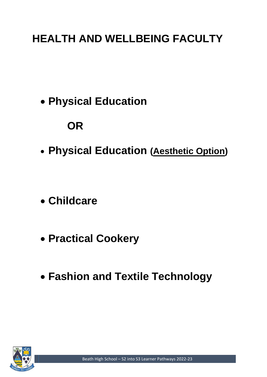# **HEALTH AND WELLBEING FACULTY**

• **Physical Education**

# **OR**

- **Physical Education (Aesthetic Option)**
- **Childcare**
- **Practical Cookery**
- **Fashion and Textile Technology**

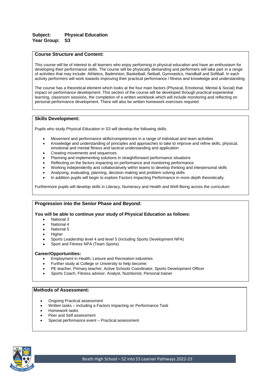# **Subject: Physical Education Year Group: S3**

## **Course Structure and Content:**

This course will be of interest to all learners who enjoy performing in physical education and have an enthusiasm for developing their performance skills. The course will be physically demanding and performers will take part in a range of activities that may include: Athletics, Badminton, Basketball, Netball, Gymnastics, Handball and Softball. In each activity performers will work towards improving their practical performance / fitness and knowledge and understanding.

The course has a theoretical element which looks at the four main factors (Physical, Emotional, Mental & Social) that impact on performance development. This section of the course will be developed through practical experiential learning, classroom sessions, the completion of a written workbook which will include monitoring and reflecting on personal performance development. There will also be written homework exercises required.

#### **Skills Development:**

Pupils who study Physical Education in S3 will develop the following skills:

- Movement and performance skills/competencies in a range of individual and team activities
- Knowledge and understanding of principles and approaches to take to improve and refine skills, physical, emotional and mental fitness and tactical understanding and application
- Creating movements and sequences
- Planning and implementing solutions in straightforward performance situations
- Reflecting on the factors impacting on performance and monitoring performance
- Working independently and collaboratively within teams to develop thinking and interpersonal skills
- Analysing, evaluating, planning, decision making and problem solving skills
- In addition pupils will begin to explore Factors Impacting Performance in more depth theoretically.

Furthermore pupils will develop skills in Literacy, Numeracy and Health and Well-Being across the curriculum:

# **Progression into the Senior Phase and Beyond:**

**You will be able to continue your study of Physical Education as follows:**

- National 3
- National 4
- National 5
- **Higher**
- Sports Leadership level 4 and level 5 (including Sports Development NPA)
- Sport and Fitness NPA (Team Sports)

#### **Career/Opportunities:**

- Employment in Health, Leisure and Recreation industries
- Further study at College or University to help become:
- PE teacher, Primary teacher, Active Schools Coordinator, Sports Development Officer
- Sports Coach, Fitness advisor, Analyst, Nutritionist, Personal trainer

- Ongoing Practical assessment
- Written tasks including a Factors Impacting on Performance Task
- Homework tasks
- Peer and Self assessment
- Special performance event Practical assessment

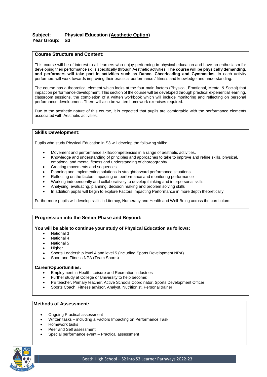# **Subject: Physical Education (Aesthetic Option) Year Group: S3**

# **Course Structure and Content:**

This course will be of interest to all learners who enjoy performing in physical education and have an enthusiasm for developing their performance skills specifically through Aesthetic activities. **The course will be physically demanding, and performers will take part in activities such as Dance, Cheerleading and Gymnastics**. In each activity performers will work towards improving their practical performance / fitness and knowledge and understanding.

The course has a theoretical element which looks at the four main factors (Physical, Emotional, Mental & Social) that impact on performance development. This section of the course will be developed through practical experiential learning, classroom sessions, the completion of a written workbook which will include monitoring and reflecting on personal performance development. There will also be written homework exercises required.

Due to the aesthetic nature of this course, it is expected that pupils are comfortable with the performance elements associated with Aesthetic activities.

#### **Skills Development:**

Pupils who study Physical Education in S3 will develop the following skills:

- Movement and performance skills/competencies in a range of aesthetic activities.
- Knowledge and understanding of principles and approaches to take to improve and refine skills, physical, emotional and mental fitness and understanding of choreography.
- Creating movements and sequences
- Planning and implementing solutions in straightforward performance situations
- Reflecting on the factors impacting on performance and monitoring performance
- Working independently and collaboratively to develop thinking and interpersonal skills
- Analysing, evaluating, planning, decision making and problem solving skills
- In addition pupils will begin to explore Factors Impacting Performance in more depth theoretically.

Furthermore pupils will develop skills in Literacy, Numeracy and Health and Well-Being across the curriculum:

# **Progression into the Senior Phase and Beyond:**

#### **You will be able to continue your study of Physical Education as follows:**

- National 3
- National 4
- National 5
- **Higher**
- Sports Leadership level 4 and level 5 (including Sports Development NPA)
- Sport and Fitness NPA (Team Sports)

#### **Career/Opportunities:**

- Employment in Health, Leisure and Recreation industries
- Further study at College or University to help become:
- PE teacher, Primary teacher, Active Schools Coordinator, Sports Development Officer
- Sports Coach, Fitness advisor, Analyst, Nutritionist, Personal trainer

- Ongoing Practical assessment
- Written tasks including a Factors Impacting on Performance Task
- Homework tasks
- Peer and Self assessment
- Special performance event Practical assessment

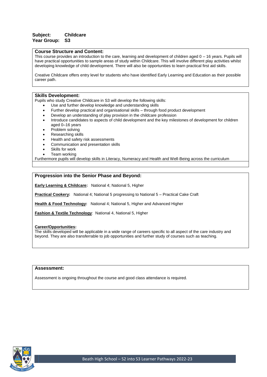# **Subject: Childcare Year Group: S3**

#### **Course Structure and Content:**

This course provides an introduction to the care, learning and development of children aged 0 – 16 years. Pupils will have practical opportunities to sample areas of study within Childcare. This will involve different play activities whilst developing knowledge of child development. There will also be opportunities to learn practical first aid skills.

Creative Childcare offers entry level for students who have identified Early Learning and Education as their possible career path.

#### **Skills Development:**

Pupils who study Creative Childcare in S3 will develop the following skills:

- Use and further develop knowledge and understanding skills
- Further develop practical and organisational skills through food product development
- Develop an understanding of play provision in the childcare profession
- Introduce candidates to aspects of child development and the key milestones of development for children aged 0–16 years
- Problem solving
- Researching skills
- Health and safety risk assessments
- Communication and presentation skills
- Skills for work
- Team working

Furthermore pupils will develop skills in Literacy, Numeracy and Health and Well-Being across the curriculum

#### **Progression into the Senior Phase and Beyond:**

**Early Learning & Childcare:** National 4; National 5, Higher

**Practical Cookery:** National 4; National 5 progressing to National 5 – Practical Cake Craft

**Health & Food Technology:** National 4; National 5, Higher and Advanced Higher

**Fashion & Textile Technology**: National 4, National 5, Higher

#### **Career/Opportunities:**

The skills developed will be applicable in a wide range of careers specific to all aspect of the care industry and beyond. They are also transferrable to job opportunities and further study of courses such as teaching.

# **Assessment:**

Assessment is ongoing throughout the course and good class attendance is required.

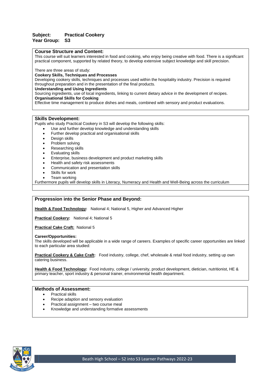# **Subject: Practical Cookery Year Group: S3**

#### **Course Structure and Content:**

This course will suit learners interested in food and cooking, who enjoy being creative with food. There is a significant practical component, supported by related theory, to develop extensive subject knowledge and skill precision.

There are three areas of study:

#### **Cookery Skills, Techniques and Processes**

Developing cookery skills, techniques and processes used within the hospitality industry. Precision is required throughout preparation and in the presentation of the final products.

#### **Understanding and Using Ingredients**

Sourcing ingredients, use of local ingredients, linking to current dietary advice in the development of recipes. **Organisational Skills for Cooking**

Effective time management to produce dishes and meals, combined with sensory and product evaluations.

#### **Skills Development:**

Pupils who study Practical Cookery in S3 will develop the following skills:

- Use and further develop knowledge and understanding skills
- Further develop practical and organisational skills
- Design skills
- Problem solving
- Researching skills
- Evaluating skills
- Enterprise, business development and product marketing skills
- Health and safety risk assessments
- Communication and presentation skills
- Skills for work
- Team working

Furthermore pupils will develop skills in Literacy, Numeracy and Health and Well-Being across the curriculum

# **Progression into the Senior Phase and Beyond:**

**Health & Food Technology:** National 4; National 5, Higher and Advanced Higher

**Practical Cookery:** National 4; National 5

**Practical Cake Craft:** National 5

#### **Career/Opportunities:**

The skills developed will be applicable in a wide range of careers. Examples of specific career opportunities are linked to each particular area studied:

**Practical Cookery & Cake Craft:** Food industry, college, chef, wholesale & retail food industry, setting up own catering business.

**Health & Food Technology:** Food industry, college / university, product development, dietician, nutritionist, HE & primary teacher, sport industry & personal trainer, environmental health department.

- Practical skills
- Recipe adaption and sensory evaluation
- Practical assignment two course meal
- Knowledge and understanding formative assessments

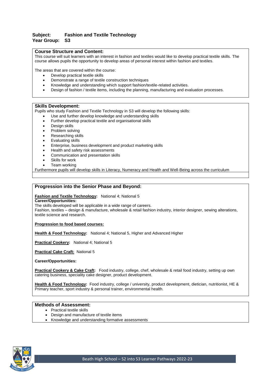# **Subject: Fashion and Textile Technology Year Group: S3**

## **Course Structure and Content:**

This course will suit learners with an interest in fashion and textiles would like to develop practical textile skills. The course allows pupils the opportunity to develop areas of personal interest within fashion and textiles.

The areas that are covered within the course:

- Develop practical textile skills
- Demonstrate a range of textile construction techniques
- Knowledge and understanding which support fashion/textile-related activities.
- Design of fashion / textile items, including the planning, manufacturing and evaluation processes.

# **Skills Development:**

Pupils who study Fashion and Textile Technology in S3 will develop the following skills:

- Use and further develop knowledge and understanding skills
- Further develop practical textile and organisational skills
- Design skills
- Problem solving
- Researching skills
- Evaluating skills
- Enterprise, business development and product marketing skills
- Health and safety risk assessments
- Communication and presentation skills
- Skills for work
- Team working

Furthermore pupils will develop skills in Literacy, Numeracy and Health and Well-Being across the curriculum

# **Progression into the Senior Phase and Beyond:**

# **Fashion and Textile Technology:** National 4; National 5

**Career/Opportunities:**

The skills developed will be applicable in a wide range of careers.

Fashion, textiles – design & manufacture, wholesale & retail fashion industry, interior designer, sewing alterations, textile science and research.

#### **Progression to food based courses:**

**Health & Food Technology:** National 4; National 5, Higher and Advanced Higher

**Practical Cookery:** National 4; National 5

**Practical Cake Craft:** National 5

**Career/Opportunities:**

**Practical Cookery & Cake Craft:** Food industry, college, chef, wholesale & retail food industry, setting up own catering business, speciality cake designer, product development.

**Health & Food Technology:** Food industry, college / university, product development, dietician, nutritionist, HE & Primary teacher, sport industry & personal trainer, environmental health.

- Practical textile skills
- Design and manufacture of textile items
- Knowledge and understanding formative assessments

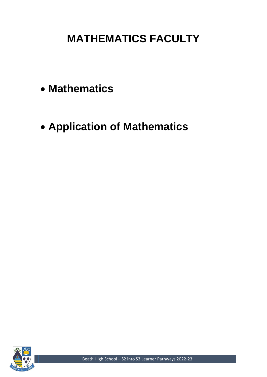# **MATHEMATICS FACULTY**

- **Mathematics**
- **Application of Mathematics**



Beath High School – S2 into S3 Learner Pathways 2022-23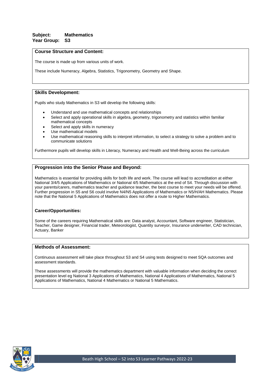# **Subject: Mathematics Year Group: S3**

# **Course Structure and Content:**

The course is made up from various units of work.

These include Numeracy, Algebra, Statistics, Trigonometry, Geometry and Shape.

# **Skills Development:**

Pupils who study Mathematics in S3 will develop the following skills:

- Understand and use mathematical concepts and relationships
- Select and apply operational skills in algebra, geometry, trigonometry and statistics within familiar mathematical concepts
- Select and apply skills in numeracy
- Use mathematical models
- Use mathematical reasoning skills to interpret information, to select a strategy to solve a problem and to communicate solutions

Furthermore pupils will develop skills in Literacy, Numeracy and Health and Well-Being across the curriculum

# **Progression into the Senior Phase and Beyond:**

Mathematics is essential for providing skills for both life and work. The course will lead to accreditation at either National 3/4/5 Applications of Mathematics or National 4/5 Mathematics at the end of S4. Through discussion with your parents/carers, mathematics teacher and guidance teacher, the best course to meet your needs will be offered. Further progression in S5 and S6 could involve N4/N5 Applications of Mathematics or N5/H/AH Mathematics. Please note that the National 5 Applications of Mathematics does not offer a route to Higher Mathematics.

#### **Career/Opportunities:**

Some of the careers requiring Mathematical skills are: Data analyst, Accountant, Software engineer, Statistician, Teacher, Game designer, Financial trader, Meteorologist, Quantity surveyor, Insurance underwriter, CAD technician, Actuary, Banker

#### **Methods of Assessment:**

Continuous assessment will take place throughout S3 and S4 using tests designed to meet SQA outcomes and assessment standards.

These assessments will provide the mathematics department with valuable information when deciding the correct presentation level eg National 3 Applications of Mathematics, National 4 Applications of Mathematics, National 5 Applications of Mathematics, National 4 Mathematics or National 5 Mathematics.

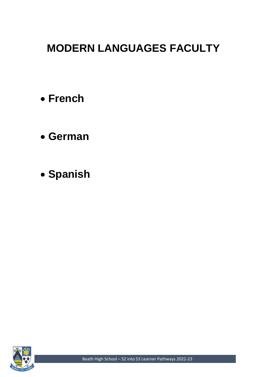# **MODERN LANGUAGES FACULTY**

- **French**
- **German**
- **Spanish**



Beath High School – S2 into S3 Learner Pathways 2022-23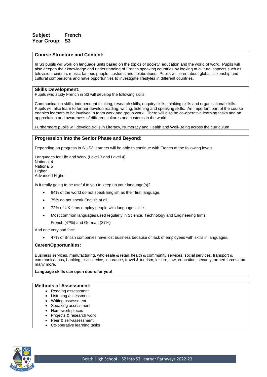In S3 pupils will work on language units based on the topics of society, education and the world of work. Pupils will also deepen their knowledge and understanding of French speaking countries by looking at cultural aspects such as television, cinema, music, famous people, customs and celebrations. Pupils will learn about global citizenship and cultural comparisons and have opportunities to investigate lifestyles in different countries.

# **Skills Development:**

Pupils who study French in S3 will develop the following skills:

Communication skills, independent thinking, research skills, enquiry skills, thinking skills and organisational skills. Pupils will also learn to further develop reading, writing, listening and speaking skills. An important part of the course enables learners to be involved in team work and group work. There will also be co-operative learning tasks and an appreciation and awareness of different cultures and customs in the world.

Furthermore pupils will develop skills in Literacy, Numeracy and Health and Well-Being across the curriculum

#### **Progression into the Senior Phase and Beyond:**

Depending on progress in S1-S3 learners will be able to continue with French at the following levels:

Languages for Life and Work (Level 3 and Level 4) National 4 National 5 **Higher** Advanced Higher

Is it really going to be useful to you to keep up your language(s)?

- 94% of the world do not speak English as their first language.
- 75% do not speak English at all.
- 72% of UK firms employ people with languages skills
- Most common languages used regularly in Science, Technology and Engineering firms: French (47%) and German (37%)

And one very sad fact:

• 47% of British companies have lost business because of lack of employees with skills in languages.

#### **Career/Opportunities:**

Business services, manufacturing, wholesale & retail, health & community services, social services, transport & communications, banking, civil service, insurance, travel & tourism, leisure, law, education, security, armed forces and many more.

#### **Language skills can open doors for you!**

- Reading assessment
- Listening assessment
- Writing assessment
- Speaking assessment
- Homework pieces
- Projects & research work
- Peer & self-assessment
- Co-operative learning tasks

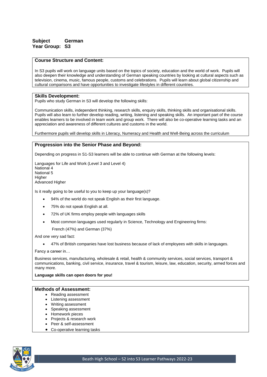# **Subject German Year Group: S3**

# **Course Structure and Content:**

In S3 pupils will work on language units based on the topics of society, education and the world of work. Pupils will also deepen their knowledge and understanding of German speaking countries by looking at cultural aspects such as television, cinema, music, famous people, customs and celebrations. Pupils will learn about global citizenship and cultural comparisons and have opportunities to investigate lifestyles in different countries.

#### **Skills Development:**

Pupils who study German in S3 will develop the following skills:

Communication skills, independent thinking, research skills, enquiry skills, thinking skills and organisational skills. Pupils will also learn to further develop reading, writing, listening and speaking skills. An important part of the course enables learners to be involved in team work and group work. There will also be co-operative learning tasks and an appreciation and awareness of different cultures and customs in the world.

Furthermore pupils will develop skills in Literacy, Numeracy and Health and Well-Being across the curriculum

# **Progression into the Senior Phase and Beyond:**

Depending on progress in S1-S3 learners will be able to continue with German at the following levels:

Languages for Life and Work (Level 3 and Level 4) National 4 National 5 Higher Advanced Higher

Is it really going to be useful to you to keep up your language(s)?

- 94% of the world do not speak English as their first language.
- 75% do not speak English at all.
- 72% of UK firms employ people with languages skills
- Most common languages used regularly in Science, Technology and Engineering firms:

French (47%) and German (37%)

And one very sad fact:

• 47% of British companies have lost business because of lack of employees with skills in languages.

Fancy a career in…

Business services, manufacturing, wholesale & retail, health & community services, social services, transport & communications, banking, civil service, insurance, travel & tourism, leisure, law, education, security, armed forces and many more.

**Language skills can open doors for you!**

- Reading assessment
- Listening assessment
- Writing assessment
- Speaking assessment
- Homework pieces
- Projects & research work
- Peer & self-assessment
- Co-operative learning tasks

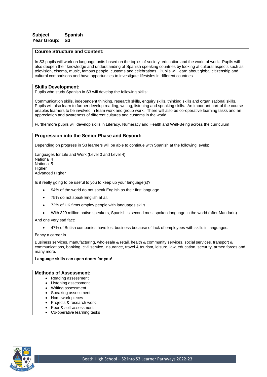# **Subject Spanish Year Group: S3**

# **Course Structure and Content:**

In S3 pupils will work on language units based on the topics of society, education and the world of work. Pupils will also deepen their knowledge and understanding of Spanish speaking countries by looking at cultural aspects such as television, cinema, music, famous people, customs and celebrations. Pupils will learn about global citizenship and cultural comparisons and have opportunities to investigate lifestyles in different countries.

#### **Skills Development:**

Pupils who study Spanish in S3 will develop the following skills:

Communication skills, independent thinking, research skills, enquiry skills, thinking skills and organisational skills. Pupils will also learn to further develop reading, writing, listening and speaking skills. An important part of the course enables learners to be involved in team work and group work. There will also be co-operative learning tasks and an appreciation and awareness of different cultures and customs in the world.

Furthermore pupils will develop skills in Literacy, Numeracy and Health and Well-Being across the curriculum

#### **Progression into the Senior Phase and Beyond:**

Depending on progress in S3 learners will be able to continue with Spanish at the following levels:

Languages for Life and Work (Level 3 and Level 4) National<sup>4</sup> National 5 **Higher** Advanced Higher

Is it really going to be useful to you to keep up your language(s)?

- 94% of the world do not speak English as their first language.
- 75% do not speak English at all.
- 72% of UK firms employ people with languages skills
- With 329 million native speakers, Spanish is second most spoken language in the world (after Mandarin)

And one very sad fact:

• 47% of British companies have lost business because of lack of employees with skills in languages.

Fancy a career in…

Business services, manufacturing, wholesale & retail, health & community services, social services, transport & communications, banking, civil service, insurance, travel & tourism, leisure, law, education, security, armed forces and many more.

**Language skills can open doors for you!**

- Reading assessment
- Listening assessment
- Writing assessment
- Speaking assessment
- Homework pieces
- Projects & research work
- Peer & self-assessment
- Co-operative learning tasks

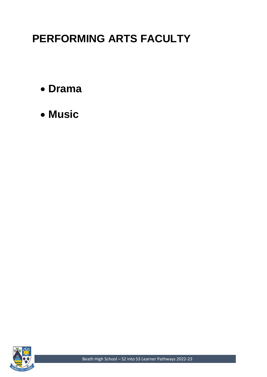# **PERFORMING ARTS FACULTY**

- **Drama**
- **Music**



Beath High School – S2 into S3 Learner Pathways 2022-23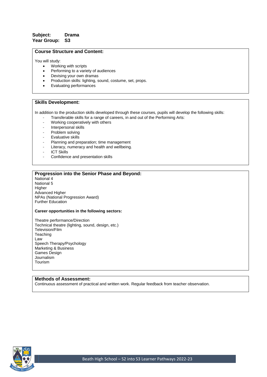# **Subject: Drama Year Group: S3**

#### **Course Structure and Content:**

You will study:

- Working with scripts
- Performing to a variety of audiences
- Devising your own dramas
- Production skills: lighting, sound, costume, set, props.
- Evaluating performances

### **Skills Development:**

In addition to the production skills developed through these courses, pupils will develop the following skills:

- Transferable skills for a range of careers, in and out of the Performing Arts:
- Working cooperatively with others
- Interpersonal skills
- Problem solving
- Evaluative skills
- Planning and preparation; time management
- Literacy, numeracy and health and wellbeing.
- **ICT Skills**
- Confidence and presentation skills

# **Progression into the Senior Phase and Beyond:**

National 4 National 5 **Higher** Advanced Higher NPAs (National Progression Award) Further Education

#### **Career opportunities in the following sectors:**

Theatre performance/Direction Technical theatre (lighting, sound, design, etc.) Television/Film **Teaching** Law Speech Therapy/Psychology Marketing & Business Games Design Journalism Tourism

#### **Methods of Assessment:**

Continuous assessment of practical and written work. Regular feedback from teacher observation.

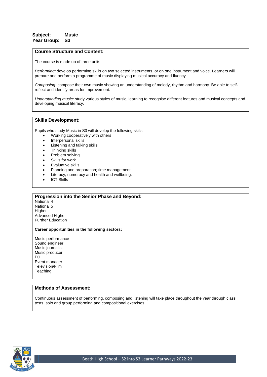# **Subject: Music Year Group: S3**

#### **Course Structure and Content:**

The course is made up of three units.

*Performing:* develop performing skills on two selected instruments, or on one instrument and voice. Learners will prepare and perform a programme of music displaying musical accuracy and fluency.

*Composing:* compose their own music showing an understanding of melody, rhythm and harmony. Be able to selfreflect and identify areas for improvement.

*Understanding music:* study various styles of music, learning to recognise different features and musical concepts and developing musical literacy.

# **Skills Development:**

Pupils who study Music in S3 will develop the following skills

- Working cooperatively with others
- Interpersonal skills
- Listening and talking skills
- Thinking skills
- Problem solving
- Skills for work
- Evaluative skills
- Planning and preparation; time management
- Literacy, numeracy and health and wellbeing.
- ICT Skills

#### **Progression into the Senior Phase and Beyond:**

National 4 National 5 **Higher** Advanced Higher Further Education

#### **Career opportunities in the following sectors:**

Music performance Sound engineer Music journalist Music producer DJ Event manager Television/Film **Teaching** 

# **Methods of Assessment:**

Continuous assessment of performing, composing and listening will take place throughout the year through class tests, solo and group performing and compositional exercises.

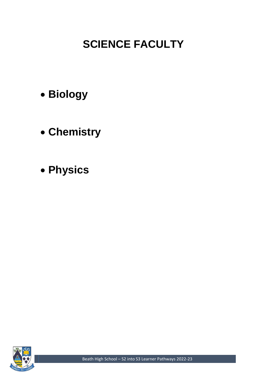# **SCIENCE FACULTY**

- **Biology**
- **Chemistry**
- **Physics**

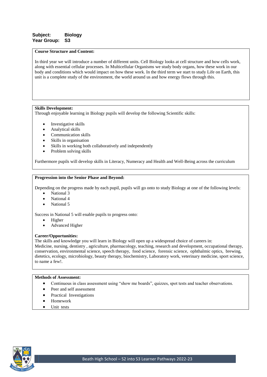In third year we will introduce a number of different units. Cell Biology looks at cell structure and how cells work, along with essential cellular processes. In Multicellular Organisms we study body organs, how these work in our body and conditions which would impact on how these work. In the third term we start to study Life on Earth, this unit is a complete study of the environment, the world around us and how energy flows through this.

# **Skills Development:**

Through enjoyable learning in Biology pupils will develop the following Scientific skills:

- Investigative skills
- Analytical skills
- Communication skills
- Skills in organisation
- Skills in working both collaboratively and independently
- Problem solving skills

Furthermore pupils will develop skills in Literacy, Numeracy and Health and Well-Being across the curriculum

#### **Progression into the Senior Phase and Beyond:**

Depending on the progress made by each pupil, pupils will go onto to study Biology at one of the following levels:

- National 3
- National 4
- National 5

Success in National 5 will enable pupils to progress onto:

- Higher
- Advanced Higher

#### **Career/Opportunities:**

The skills and knowledge you will learn in Biology will open up a widespread choice of careers in:

Medicine, nursing, dentistry , agriculture, pharmacology, teaching, research and development, occupational therapy, conservation, environmental science, speech therapy, food science, forensic science, ophthalmic optics, brewing, dietetics, ecology, microbiology, beauty therapy, biochemistry, Laboratory work, veterinary medicine, sport science, to name a few!.

- Continuous in class assessment using "show me boards", quizzes, spot tests and teacher observations.
- Peer and self assessment
- Practical Investigations
- Homework
- Unit tests

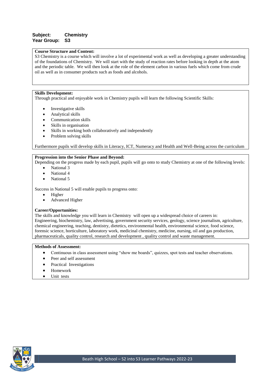# **Subject: Chemistry Year Group: S3**

#### **Course Structure and Content:**

S3 Chemistry is a course which will involve a lot of experimental work as well as developing a greater understanding of the foundations of Chemistry. We will start with the study of reaction rates before looking in depth at the atom and the periodic table. We will then look at the role of the element carbon in various fuels which come from crude oil as well as in consumer products such as foods and alcohols.

#### **Skills Development:**

Through practical and enjoyable work in Chemistry pupils will learn the following Scientific Skills:

- Investigative skills
- Analytical skills
- Communication skills
- Skills in organisation
- Skills in working both collaboratively and independently
- Problem solving skills

Furthermore pupils will develop skills in Literacy, ICT, Numeracy and Health and Well-Being across the curriculum

#### **Progression into the Senior Phase and Beyond:**

Depending on the progress made by each pupil, pupils will go onto to study Chemistry at one of the following levels:

- National 3
- National 4
- National 5

Success in National 5 will enable pupils to progress onto:

- Higher
- Advanced Higher

# **Career/Opportunities:**

The skills and knowledge you will learn in Chemistry will open up a widespread choice of careers in: Engineering, biochemistry, law, advertising, government security services, geology, science journalism, agriculture, chemical engineering, teaching, dentistry, dietetics, environmental health, environmental science, food science, forensic science, horticulture, laboratory work, medicinal chemistry, medicine, nursing, oil and gas production, pharmaceuticals, quality control, research and development , quality control and waste management.

- Continuous in class assessment using "show me boards", quizzes, spot tests and teacher observations.
- Peer and self assessment
- Practical Investigations
- Homework
- Unit tests

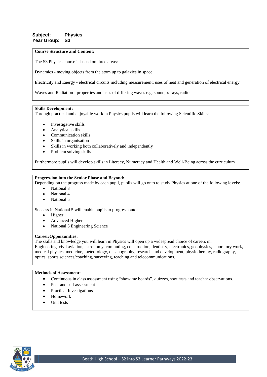# **Subject: Physics Year Group: S3**

#### **Course Structure and Content:**

The S3 Physics course is based on three areas:

Dynamics - moving objects from the atom up to galaxies in space.

Electricity and Energy - electrical circuits including measurement; uses of heat and generation of electrical energy

Waves and Radiation - properties and uses of differing waves e.g. sound, x-rays, radio

# **Skills Development:**

Through practical and enjoyable work in Physics pupils will learn the following Scientific Skills:

- Investigative skills
- Analytical skills
- Communication skills
- Skills in organisation
- Skills in working both collaboratively and independently
- Problem solving skills

Furthermore pupils will develop skills in Literacy, Numeracy and Health and Well-Being across the curriculum

#### **Progression into the Senior Phase and Beyond:**

Depending on the progress made by each pupil, pupils will go onto to study Physics at one of the following levels:

- National 3
- National 4
- National 5

Success in National 5 will enable pupils to progress onto:

- Higher
- Advanced Higher
- National 5 Engineering Science

#### **Career/Opportunities:**

The skills and knowledge you will learn in Physics will open up a widespread choice of careers in:

Engineering, civil aviation, astronomy, computing, construction, dentistry, electronics, geophysics, laboratory work, medical physics, medicine, meteorology, oceanography, research and development, physiotherapy, radiography, optics, sports sciences/coaching, surveying, teaching and telecommunications.

- Continuous in class assessment using "show me boards", quizzes, spot tests and teacher observations.
- Peer and self assessment
- Practical Investigations
- Homework
- Unit tests

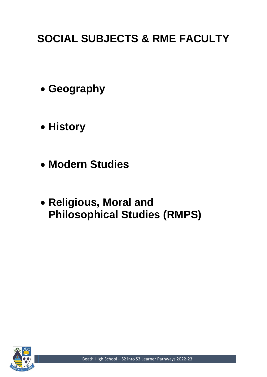# **SOCIAL SUBJECTS & RME FACULTY**

- **Geography**
- **History**
- **Modern Studies**
- **Religious, Moral and Philosophical Studies (RMPS)**

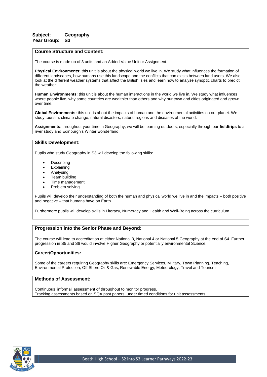# **Subject: Geography Year Group: S3**

#### **Course Structure and Content:**

The course is made up of 3 units and an Added Value Unit or Assignment.

**Physical Environments:** this unit is about the physical world we live in. We study what influences the formation of different landscapes, how humans use this landscape and the conflicts that can exists between land users. We also look at the different weather systems that affect the British Isles and learn how to analyse synoptic charts to predict the weather.

**Human Environments**: this unit is about the human interactions in the world we live in. We study what influences where people live, why some countries are wealthier than others and why our town and cities originated and grown over time.

**Global Environments:** this unit is about the impacts of human and the environmental activities on our planet. We study tourism, climate change, natural disasters, natural regions and diseases of the world.

**Assignments**: throughout your time in Geography, we will be learning outdoors, especially through our **fieldtrips** to a river study and Edinburgh's Winter wonderland.

#### **Skills Development:**

Pupils who study Geography in S3 will develop the following skills:

- **Describing**
- **Explaining**
- Analysing
- Team building
- Time management
- Problem solving

Pupils will develop their understanding of both the human and physical world we live in and the impacts – both positive and negative – that humans have on Earth.

Furthermore pupils will develop skills in Literacy, Numeracy and Health and Well-Being across the curriculum.

# **Progression into the Senior Phase and Beyond:**

The course will lead to accreditation at either National 3, National 4 or National 5 Geography at the end of S4. Further progression in S5 and S6 would involve Higher Geography or potentially environmental Science.

# **Career/Opportunities:**

Some of the careers requiring Geography skills are: Emergency Services, Military, Town Planning, Teaching, Environmental Protection, Off Shore Oil & Gas, Renewable Energy, Meteorology, Travel and Tourism

### **Methods of Assessment:**

Continuous 'informal' assessment of throughout to monitor progress. Tracking assessments based on SQA past papers, under timed conditions for unit assessments.

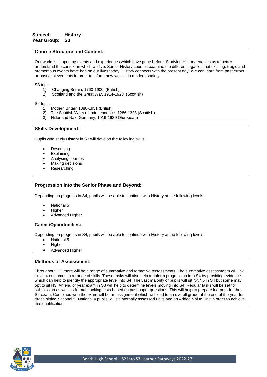# **Subject: History Year Group: S3**

# **Course Structure and Content:**

Our world is shaped by events and experiences which have gone before. Studying History enables us to better understand the context in which we live. Senior History courses examine the different legacies that exciting, tragic and momentous events have had on our lives today. History connects with the present day. We can learn from past errors or past achievements in order to inform how we live in modern society.

S<sub>3</sub> topics

- 1) Changing Britain, 1760-1900 (British)
- 2) Scotland and the Great War, 1914-1928 (Scottish)

S4 topics

- 1) Modern Britain,1880-1951 (British)
- 2) The Scottish Wars of Independence, 1286-1328 (Scottish)
- 3) Hitler and Nazi Germany, 1919-1939 (European)

#### **Skills Development:**

Pupils who study History in S3 will develop the following skills:

- **Describing**
- **Explaining**
- Analysing sources
- Making decisions
- **Researching**

#### **Progression into the Senior Phase and Beyond:**

Depending on progress in S4, pupils will be able to continue with History at the following levels:

- National 5
- **Higher**
- Advanced Higher

#### **Career/Opportunities:**

Depending on progress in S4, pupils will be able to continue with History at the following levels:

- National 5
- Higher
- Advanced Higher

# **Methods of Assessment:**

Throughout S3, there will be a range of summative and formative assessments. The summative assessments will link Level 4 outcomes to a range of skills. These tasks will also help to inform progression into S4 by providing evidence which can help to identify the appropriate level into S4. The vast majority of pupils will sit N4/N5 in S4 but some may opt to sit N3. An end of year exam in S3 will help to determine levels moving into S4. Regular tasks will be set for submission as well as formal tracking tests based on past paper questions. This will help to prepare learners for the S4 exam. Combined with the exam will be an assignment which will lead to an overall grade at the end of the year for those sitting National 5. National 4 pupils will sit internally assessed units and an Added Value Unit in order to achieve this qualification.

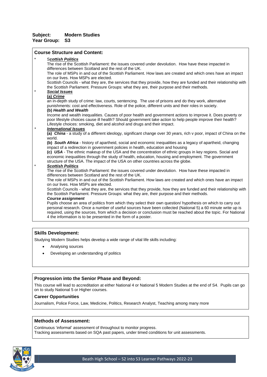# **Subject: Modern Studies Year Group: S3**

# **Course Structure and Content:**

| $\star$ | <b>Scottish Politics</b>                                                                                                                                                                 |
|---------|------------------------------------------------------------------------------------------------------------------------------------------------------------------------------------------|
|         | The rise of the Scottish Parliament: the issues covered under devolution. How have these impacted in                                                                                     |
|         | differences between Scotland and the rest of the UK.                                                                                                                                     |
|         | The role of MSPs in and out of the Scottish Parliament. How laws are created and which ones have an impact                                                                               |
|         | on our lives. How MSPs are elected.                                                                                                                                                      |
|         | Scottish Councils - what they are, the services that they provide, how they are funded and their relationship with                                                                       |
|         | the Scottish Parliament. Pressure Groups: what they are, their purpose and their methods.                                                                                                |
| $\star$ | <b>Social Issues</b>                                                                                                                                                                     |
|         | (a) Crime                                                                                                                                                                                |
|         | an in-depth study of crime: law, courts, sentencing. The use of prisons and do they work, alternative                                                                                    |
|         | punishments: cost and effectiveness. Role of the police, different units and their roles in society.                                                                                     |
|         | (b) Health and Wealth                                                                                                                                                                    |
|         | Income and wealth inequalities. Causes of poor health and government actions to improve it. Does poverty or                                                                              |
|         | poor lifestyle choices cause ill health? Should government take action to help people improve their health?                                                                              |
|         | Lifestyle choices: smoking, diet and alcohol and drugs and their impact.                                                                                                                 |
| $\star$ | <b>International Issues</b>                                                                                                                                                              |
|         | (a) China - a study of a different ideology, significant change over 30 years, rich v poor, impact of China on the                                                                       |
|         | world.                                                                                                                                                                                   |
|         | (b) South Africa - history of apartheid, social and economic inequalities as a legacy of apartheid, changing                                                                             |
|         | impact of a redirection in government policies in health, education and housing                                                                                                          |
|         | (c) USA - The ethnic makeup of the USA and the concentration of ethnic groups in key regions. Social and                                                                                 |
|         | economic inequalities through the study of health, education, housing and employment. The government<br>structure of the USA. The impact of the USA on other countries across the globe. |
| $\star$ | <b>Scottish Politics</b>                                                                                                                                                                 |
|         | The rise of the Scottish Parliament: the issues covered under devolution. How have these impacted in                                                                                     |
|         | differences between Scotland and the rest of the UK.                                                                                                                                     |
|         | The role of MSPs in and out of the Scottish Parliament. How laws are created and which ones have an impact                                                                               |
|         | on our lives. How MSPs are elected.                                                                                                                                                      |
|         | Scottish Councils - what they are, the services that they provide, how they are funded and their relationship with                                                                       |
|         | the Scottish Parliament. Pressure Groups: what they are, their purpose and their methods.                                                                                                |
|         | <b>Course assignment</b>                                                                                                                                                                 |
|         | Pupils choose an area of politics from which they select their own question/ hypothesis on which to carry out                                                                            |
|         | personal research. Once a number of useful sources have been collected (National 5) a 60 minute write up is                                                                              |
|         | required, using the sources, from which a decision or conclusion must be reached about the topic. For National                                                                           |

# **Skills Development:**

Studying Modern Studies helps develop a wide range of vital life skills including:

4 the information is to be presented in the form of a poster.

- Analysing sources
- Developing an understanding of politics

# **Progression into the Senior Phase and Beyond:**

This course will lead to accreditation at either National 4 or National 5 Modern Studies at the end of S4. Pupils can go on to study National 5 or Higher courses.

## **Career Opportunities**

Journalism, Police Force, Law, Medicine, Politics, Research Analyst, Teaching among many more

### **Methods of Assessment:**

Continuous 'informal' assessment of throughout to monitor progress. Tracking assessments based on SQA past papers, under timed conditions for unit assessments.

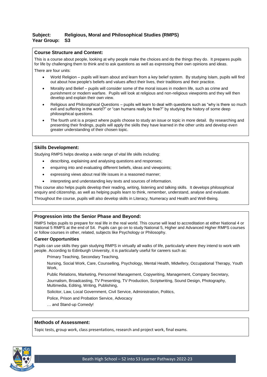# **Subject: Religious, Moral and Philosophical Studies (RMPS) Year Group: S3**

# **Course Structure and Content:**

This is a course about people, looking at why people make the choices and do the things they do. It prepares pupils for life by challenging them to think and to ask questions as well as expressing their own opinions and ideas. There are four units:

- World Religion pupils will learn about and learn from a key belief system. By studying Islam, pupils will find out about how people's beliefs and values affect their lives, their traditions and their practice.
- Morality and Belief pupils will consider some of the moral issues in modern life, such as crime and punishment or modern warfare. Pupils will look at religious and non-religious viewpoints and they will then develop and explain their own view.
- Religious and Philosophical Questions pupils will learn to deal with questions such as "why is there so much evil and suffering in the world?" or "can humans really be free?" by studying the history of some deep philosophical questions.
- The fourth unit is a project where pupils choose to study an issue or topic in more detail. By researching and presenting their findings, pupils will apply the skills they have learned in the other units and develop even greater understanding of their chosen topic.

# **Skills Development:**

Studying RMPS helps develop a wide range of vital life skills including:

- describing, explaining and analysing questions and responses;
- enquiring into and evaluating different beliefs, ideas and viewpoints;
- expressing views about real life issues in a reasoned manner;
- interpreting and understanding key texts and sources of information.

This course also helps pupils develop their reading, writing, listening and talking skills. It develops philosophical enquiry and citizenship, as well as helping pupils learn to think, remember, understand, analyse and evaluate.

Throughout the course, pupils will also develop skills in Literacy, Numeracy and Health and Well-Being.

# **Progression into the Senior Phase and Beyond:**

RMPS helps pupils to prepare for real life in the real world. This course will lead to accreditation at either National 4 or National 5 RMPS at the end of S4. Pupils can go on to study National 5, Higher and Advanced Higher RMPS courses or follow courses in other, related, subjects like Psychology or Philosophy.

#### **Career Opportunities**

Pupils can use skills they gain studying RMPS in virtually all walks of life, particularly where they intend to work with people. According to Edinburgh University, it is particularly useful for careers such as:

Primary Teaching, Secondary Teaching,

Nursing, Social Work, Care, Counselling, Psychology, Mental Health, Midwifery, Occupational Therapy, Youth Work,

Public Relations, Marketing, Personnel Management, Copywriting, Management, Company Secretary, Journalism, Broadcasting, TV Presenting, TV Production, Scriptwriting, Sound Design, Photography, Multimedia, Editing, Writing, Publishing,

Solicitor, Law, Local Government, Civil Service, Administration, Politics,

Police, Prison and Probation Service, Advocacy

… and Stand-up Comedy!

#### **Methods of Assessment:**

Topic tests, group work, class presentations, research and project work, final exams.

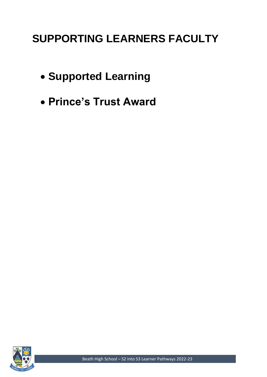# **SUPPORTING LEARNERS FACULTY**

- **Supported Learning**
- **Prince's Trust Award**

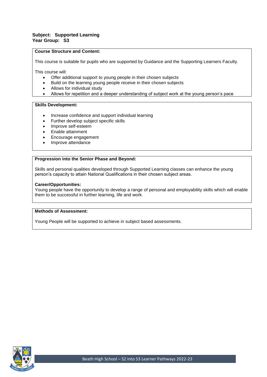# **Subject: Supported Learning Year Group: S3**

# **Course Structure and Content:**

This course is suitable for pupils who are supported by Guidance and the Supporting Learners Faculty.

This course will:

- Offer additional support to young people in their chosen subjects
- Build on the learning young people receive in their chosen subjects
- Allows for individual study
- Allows for repetition and a deeper understanding of subject work at the young person's pace

#### **Skills Development:**

- Increase confidence and support individual learning
- Further develop subject specific skills
- Improve self-esteem
- Enable attainment
- Encourage engagement
- Improve attendance

# **Progression into the Senior Phase and Beyond:**

Skills and personal qualities developed through Supported Learning classes can enhance the young person's capacity to attain National Qualifications in their chosen subject areas.

#### **Career/Opportunities:**

Young people have the opportunity to develop a range of personal and employability skills which will enable them to be successful in further learning, life and work.

# **Methods of Assessment:**

Young People will be supported to achieve in subject based assessments.

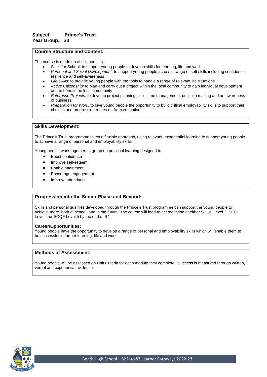# **Subject: Prince's Trust Year Group: S3**

#### **Course Structure and Content:**

The course is made up of six modules:

- Skills for School: to support young people to develop skills for learning, life and work
- *Personal and Social Development:* to support young people across a range of soft skills including confidence, resilience and self-awareness
- *Life Skills:* to provide young people with the tools to handle a range of relevant life situations
- *Active Citizenship:* to plan and carry out a project within the local community to gain individual development and to benefit the local community
- *Enterprise Projects:* to develop project planning skills, time management, decision making and an awareness of business
- *Preparation for Work:* to give young people the opportunity to build critical employability skills to support their choices and progression routes on from education

#### **Skills Development:**

The Prince's Trust programme takes a flexible approach, using relevant, experiential learning to support young people to achieve a range of personal and employability skills.

Young people work together as group on practical learning designed to:

- Boost confidence
- Improve self-esteem
- Enable attainment
- Encourage engagement
- Improve attendance

#### **Progression into the Senior Phase and Beyond:**

Skills and personal qualities developed through the Prince's Trust programme can support the young people to achieve more, both at school, and in the future. The course will lead to accreditation at either SCQF Level 3, SCQF Level 4 or SCQF Level 5 by the end of S4.

#### **Career/Opportunities:**

Young people have the opportunity to develop a range of personal and employability skills which will enable them to be successful in further learning, life and work.

### **Methods of Assessment:**

Young people will be assessed on Unit Criteria for each module they complete. Success is measured through written, verbal and experiential evidence.

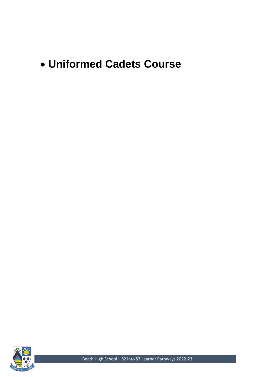# • **Uniformed Cadets Course**



Beath High School – S2 into S3 Learner Pathways 2022-23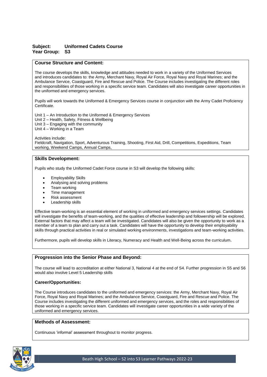# **Subject: Uniformed Cadets Course Year Group: S3**

# **Course Structure and Content:**

The course develops the skills, knowledge and attitudes needed to work in a variety of the Uniformed Services and introduces candidates to: the Army, Merchant Navy, Royal Air Force, Royal Navy and Royal Marines; and the Ambulance Service, Coastguard, Fire and Rescue and Police. The Course includes investigating the different roles and responsibilities of those working in a specific service team. Candidates will also investigate career opportunities in the uniformed and emergency services.

Pupils will work towards the Uniformed & Emergency Services course in conjunction with the Army Cadet Proficiency Certificate.

Unit 1 – An Introduction to the Uniformed & Emergency Services Unit 2 – Health, Safety, Fitness & Wellbeing Unit 3 – Engaging with the community

Unit 4 – Working in a Team

Activities include:

Fieldcraft, Navigation, Sport, Adventurous Training, Shooting, First Aid, Drill, Competitions, Expeditions, Team working, Weekend Camps, Annual Camps,

#### **Skills Development:**

Pupils who study the Uniformed Cadet Force course in S3 will develop the following skills:

- Employability Skills
- Analysing and solving problems
- Team working
- Time management
- Risk assessment
- Leadership skills

Effective team-working is an essential element of working in uniformed and emergency services settings. Candidates will investigate the benefits of team-working, and the qualities of effective leadership and followership will be explored. External factors that may affect a team will be investigated. Candidates will also be given the opportunity to work as a member of a team to plan and carry out a task. Candidates will have the opportunity to develop their employability skills through practical activities in real or simulated working environments, investigations and team-working activities.

Furthermore, pupils will develop skills in Literacy, Numeracy and Health and Well-Being across the curriculum.

#### **Progression into the Senior Phase and Beyond:**

The course will lead to accreditation at either National 3, National 4 at the end of S4. Further progression in S5 and S6 would also involve Level 5 Leadership skills

#### **Career/Opportunities:**

The Course introduces candidates to the uniformed and emergency services: the Army, Merchant Navy, Royal Air Force, Royal Navy and Royal Marines; and the Ambulance Service, Coastguard, Fire and Rescue and Police. The Course includes investigating the different uniformed and emergency services, and the roles and responsibilities of those working in a specific service team. Candidates will investigate career opportunities in a wide variety of the uniformed and emergency services.

# **Methods of Assessment:**

Continuous 'informal' assessment throughout to monitor progress.

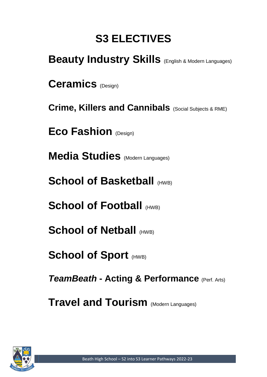# **S3 ELECTIVES**

| <b>Beauty Industry Skills (English &amp; Modern Languages)</b> |  |
|----------------------------------------------------------------|--|
| <b>Ceramics</b> (Design)                                       |  |
| <b>Crime, Killers and Cannibals</b> (Social Subjects & RME)    |  |
| <b>Eco Fashion (Design)</b>                                    |  |
| <b>Media Studies</b> (Modern Languages)                        |  |
| <b>School of Basketball (HWB)</b>                              |  |
| <b>School of Football (HWB)</b>                                |  |
| <b>School of Netball (HWB)</b>                                 |  |
| <b>School of Sport (HWB)</b>                                   |  |
| <b>TeamBeath - Acting &amp; Performance</b> (Perf. Arts)       |  |
| <b>Travel and Tourism (Modern Languages)</b>                   |  |

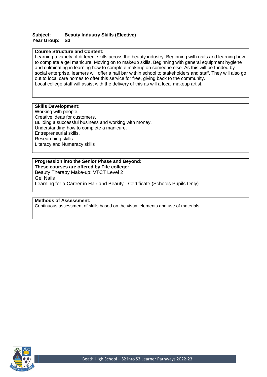# **Subject: Beauty Industry Skills (Elective) Year Group: S3**

# **Course Structure and Content:**

Learning a variety of different skills across the beauty industry. Beginning with nails and learning how to complete a gel manicure. Moving on to makeup skills. Beginning with general equipment hygiene and culminating in learning how to complete makeup on someone else. As this will be funded by social enterprise, learners will offer a nail bar within school to stakeholders and staff. They will also go out to local care homes to offer this service for free, giving back to the community. Local college staff will assist with the delivery of this as will a local makeup artist.

# **Skills Development:**

Working with people. Creative ideas for customers. Building a successful business and working with money. Understanding how to complete a manicure. Entrepreneurial skills. Researching skills. Literacy and Numeracy skills

# **Progression into the Senior Phase and Beyond:**

**These courses are offered by Fife college:** Beauty Therapy Make-up: VTCT Level 2 Gel Nails Learning for a Career in Hair and Beauty - Certificate (Schools Pupils Only)

# **Methods of Assessment:**

Continuous assessment of skills based on the visual elements and use of materials.

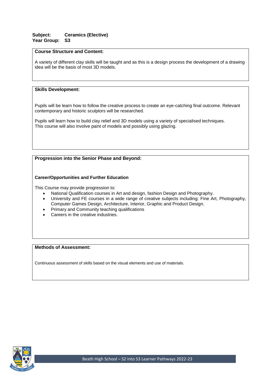# **Subject: Ceramics (Elective) Year Group: S3**

# **Course Structure and Content:**

A variety of different clay skills will be taught and as this is a design process the development of a drawing idea will be the basis of most 3D models.

# **Skills Development:**

Pupils will be learn how to follow the creative process to create an eye-catching final outcome. Relevant contemporary and historic sculptors will be researched.

Pupils will learn how to build clay relief and 3D models using a variety of specialised techniques. This course will also involve paint of models and possibly using glazing.

# **Progression into the Senior Phase and Beyond:**

# **Career/Opportunities and Further Education**

This Course may provide progression to:

- National Qualification courses in Art and design, fashion Design and Photography.
- University and FE courses in a wide range of creative subjects including: Fine Art, Photography, Computer Games Design, Architecture, Interior, Graphic and Product Design.
- Primary and Community teaching qualifications
- Careers in the creative industries.

# **Methods of Assessment:**

Continuous assessment of skills based on the visual elements and use of materials.

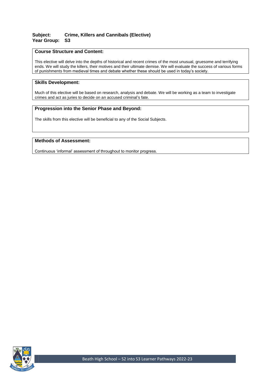# **Subject: Crime, Killers and Cannibals (Elective) Year Group: S3**

# **Course Structure and Content:**

This elective will delve into the depths of historical and recent crimes of the most unusual, gruesome and terrifying ends. We will study the killers, their motives and their ultimate demise. We will evaluate the success of various forms of punishments from medieval times and debate whether these should be used in today's society.

# **Skills Development:**

Much of this elective will be based on research, analysis and debate. We will be working as a team to investigate crimes and act as juries to decide on an accused criminal's fate.

# **Progression into the Senior Phase and Beyond:**

The skills from this elective will be beneficial to any of the Social Subjects.

# **Methods of Assessment:**

Continuous 'informal' assessment of throughout to monitor progress.

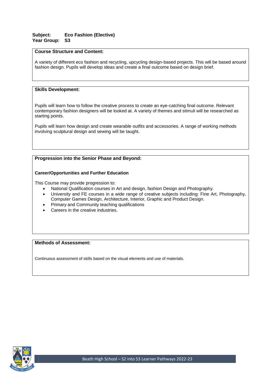# **Subject: Eco Fashion (Elective) Year Group: S3**

# **Course Structure and Content:**

A variety of different eco fashion and recycling, upcycling design-based projects. This will be based around fashion design. Pupils will develop ideas and create a final outcome based on design brief.

# **Skills Development:**

Pupils will learn how to follow the creative process to create an eye-catching final outcome. Relevant contemporary fashion designers will be looked at. A variety of themes and stimuli will be researched as starting points.

Pupils will learn how design and create wearable outfits and accessories. A range of working methods involving sculptural design and sewing will be taught.

# **Progression into the Senior Phase and Beyond:**

# **Career/Opportunities and Further Education**

This Course may provide progression to:

- National Qualification courses in Art and design, fashion Design and Photography.
- University and FE courses in a wide range of creative subjects including: Fine Art, Photography, Computer Games Design, Architecture, Interior, Graphic and Product Design.
- Primary and Community teaching qualifications
- Careers in the creative industries.

# **Methods of Assessment:**

Continuous assessment of skills based on the visual elements and use of materials.

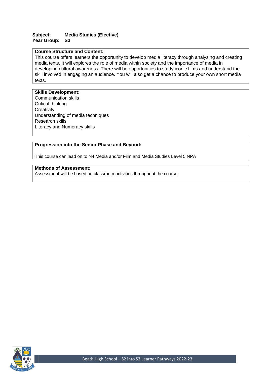# **Subject: Media Studies (Elective) Year Group: S3**

# **Course Structure and Content:**

This course offers learners the opportunity to develop media literacy through analysing and creating media texts. It will explores the role of media within society and the importance of media in developing cultural awareness. There will be opportunities to study iconic films and understand the skill involved in engaging an audience. You will also get a chance to produce your own short media texts.

# **Skills Development:**

Communication skills Critical thinking **Creativity** Understanding of media techniques Research skills Literacy and Numeracy skills

# **Progression into the Senior Phase and Beyond:**

This course can lead on to N4 Media and/or Film and Media Studies Level 5 NPA

# **Methods of Assessment:**

Assessment will be based on classroom activities throughout the course.

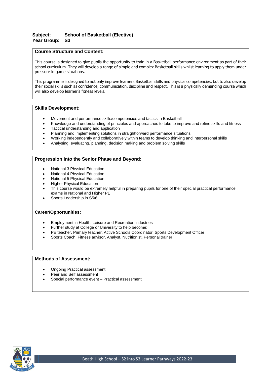# **Subject: School of Basketball (Elective) Year Group: S3**

# **Course Structure and Content:**

This course is designed to give pupils the opportunity to train in a Basketball performance environment as part of their school curriculum. They will develop a range of simple and complex Basketball skills whilst learning to apply them under pressure in game situations.

This programme is designed to not only improve learners Basketball skills and physical competencies, but to also develop their social skills such as confidence, communication, discipline and respect. This is a physically demanding course which will also develop learner's fitness levels.

# **Skills Development:**

- Movement and performance skills/competencies and tactics in Basketball
- Knowledge and understanding of principles and approaches to take to improve and refine skills and fitness
- Tactical understanding and application
- Planning and implementing solutions in straightforward performance situations
- Working independently and collaboratively within teams to develop thinking and interpersonal skills
- Analysing, evaluating, planning, decision making and problem solving skills

# **Progression into the Senior Phase and Beyond:**

- National 3 Physical Education
- National 4 Physical Education
- National 5 Physical Education
- Higher Physical Education
- This course would be extremely helpful in preparing pupils for one of their special practical performance exams in National and Higher PE
- Sports Leadership in S5/6

#### **Career/Opportunities:**

- Employment in Health, Leisure and Recreation industries
- Further study at College or University to help become:
- PE teacher, Primary teacher, Active Schools Coordinator, Sports Development Officer
- Sports Coach, Fitness advisor, Analyst, Nutritionist, Personal trainer

- Ongoing Practical assessment
- Peer and Self assessment
- Special performance event Practical assessment

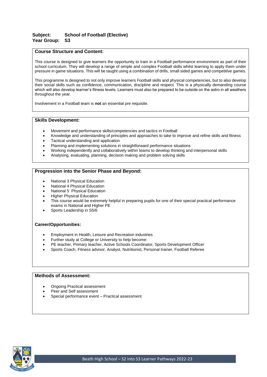# **Subject: School of Football (Elective) Year Group: S3**

# **Course Structure and Content:**

This course is designed to give learners the opportunity to train in a Football performance environment as part of their school curriculum. They will develop a range of simple and complex Football skills whilst learning to apply them under pressure in game situations. This will be taught using a combination of drills, small sided games and competitive games.

This programme is designed to not only improve learners Football skills and physical competencies, but to also develop their social skills such as confidence, communication, discipline and respect. This is a physically demanding course which will also develop learner's fitness levels. Learners must also be prepared to be outside on the astro in all weathers throughout the year.

Involvement in a Football team is **not** an essential pre requisite.

# **Skills Development:**

- Movement and performance skills/competencies and tactics in Football
- Knowledge and understanding of principles and approaches to take to improve and refine skills and fitness
- Tactical understanding and application
- Planning and implementing solutions in straightforward performance situations
- Working independently and collaboratively within teams to develop thinking and interpersonal skills
- Analysing, evaluating, planning, decision making and problem solving skills

# **Progression into the Senior Phase and Beyond:**

- National 3 Physical Education
- National 4 Physical Education
- National 5 Physical Education
- Higher Physical Education
- This course would be extremely helpful in preparing pupils for one of their special practical performance exams in National and Higher PE
- Sports Leadership in S5/6

#### **Career/Opportunities:**

- Employment in Health, Leisure and Recreation industries
- Further study at College or University to help become:
- PE teacher, Primary teacher, Active Schools Coordinator, Sports Development Officer
- Sports Coach, Fitness advisor, Analyst, Nutritionist, Personal trainer, Football Referee

- Ongoing Practical assessment
- Peer and Self assessment
- Special performance event Practical assessment

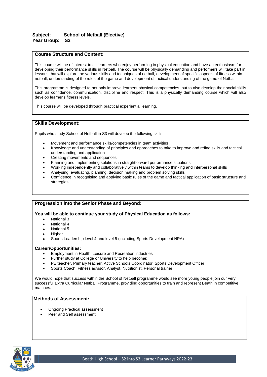# **Subject: School of Netball (Elective) Year Group: S3**

# **Course Structure and Content:**

This course will be of interest to all learners who enjoy performing in physical education and have an enthusiasm for developing their performance skills in Netball. The course will be physically demanding and performers will take part in lessons that will explore the various skills and techniques of netball, development of specific aspects of fitness within netball, understanding of the rules of the game and development of tactical understanding of the game of Netball.

This programme is designed to not only improve learners physical competencies, but to also develop their social skills such as confidence, communication, discipline and respect. This is a physically demanding course which will also develop learner's fitness levels.

This course will be developed through practical experiential learning.

# **Skills Development:**

Pupils who study School of Netball in S3 will develop the following skills:

- Movement and performance skills/competencies in team activities
- Knowledge and understanding of principles and approaches to take to improve and refine skills and tactical understanding and application
- Creating movements and sequences
- Planning and implementing solutions in straightforward performance situations
- Working independently and collaboratively within teams to develop thinking and interpersonal skills
- Analysing, evaluating, planning, decision making and problem solving skills
- Confidence in recognising and applying basic rules of the game and tactical application of basic structure and strategies.

#### **Progression into the Senior Phase and Beyond:**

**You will be able to continue your study of Physical Education as follows:**

- National 3
- National 4
- National 5
- **Higher**
- Sports Leadership level 4 and level 5 (including Sports Development NPA)

#### **Career/Opportunities:**

- Employment in Health, Leisure and Recreation industries
- Further study at College or University to help become:
- PE teacher, Primary teacher, Active Schools Coordinator, Sports Development Officer
- Sports Coach, Fitness advisor, Analyst, Nutritionist, Personal trainer

We would hope that success within the School of Netball programme would see more young people join our very successful Extra Curricular Netball Programme, providing opportunities to train and represent Beath in competitive matches.

- Ongoing Practical assessment
- Peer and Self assessment

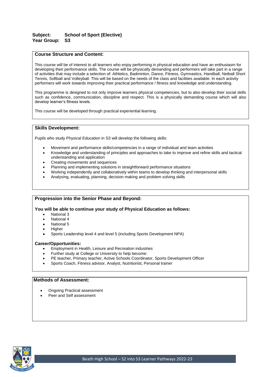# **Subject: School of Sport (Elective) Year Group: S3**

# **Course Structure and Content:**

This course will be of interest to all learners who enjoy performing in physical education and have an enthusiasm for developing their performance skills. The course will be physically demanding and performers will take part in a range of activities that may include a selection of: Athletics, Badminton, Dance, Fitness, Gymnastics, Handball, Netball Short Tennis, Softball and Volleyball. This will be based on the needs of the class and facilities available. In each activity performers will work towards improving their practical performance / fitness and knowledge and understanding.

This programme is designed to not only improve learners physical competencies, but to also develop their social skills such as confidence, communication, discipline and respect. This is a physically demanding course which will also develop learner's fitness levels.

This course will be developed through practical experiential learning.

# **Skills Development:**

Pupils who study Physical Education in S3 will develop the following skills:

- Movement and performance skills/competencies in a range of individual and team activities
- Knowledge and understanding of principles and approaches to take to improve and refine skills and tactical understanding and application
- Creating movements and sequences
- Planning and implementing solutions in straightforward performance situations
- Working independently and collaboratively within teams to develop thinking and interpersonal skills
- Analysing, evaluating, planning, decision making and problem solving skills

# **Progression into the Senior Phase and Beyond:**

#### **You will be able to continue your study of Physical Education as follows:**

- **National 3**
- National 4
- National 5
- **Higher**
- Sports Leadership level 4 and level 5 (including Sports Development NPA)

#### **Career/Opportunities:**

- Employment in Health, Leisure and Recreation industries
- Further study at College or University to help become:
- PE teacher, Primary teacher, Active Schools Coordinator, Sports Development Officer
- Sports Coach, Fitness advisor, Analyst, Nutritionist, Personal trainer

- Ongoing Practical assessment
- Peer and Self assessment

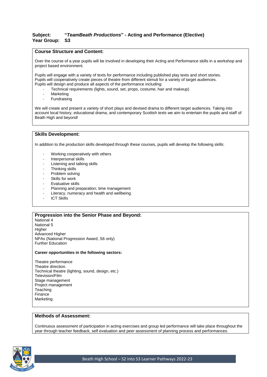# **Subject: "***TeamBeath Productions***" - Acting and Performance (Elective) Year Group: S3**

# **Course Structure and Content:**

Over the course of a year pupils will be involved in developing their Acting and Performance skills in a workshop and project based environment.

Pupils will engage with a variety of texts for performance including published play texts and short stories. Pupils will cooperatively create pieces of theatre from different stimuli for a variety of target audiences. Pupils will design and produce all aspects of the performance including:

- Technical requirements (lights, sound, set, props, costume, hair and makeup)
- **Marketing**
- Fundraising

We will create and present a variety of short plays and devised drama to different target audiences. Taking into account local history, educational drama, and contemporary Scottish texts we aim to entertain the pupils and staff of Beath High and beyond!

#### **Skills Development:**

In addition to the production skills developed through these courses, pupils will develop the following skills:

- Working cooperatively with others
- Interpersonal skills
- Listening and talking skills
- Thinking skills
- Problem solving
- Skills for work
- **Evaluative skills**
- Planning and preparation; time management
- Literacy, numeracy and health and wellbeing.
- ICT Skills

# **Progression into the Senior Phase and Beyond:**

National 4 National 5 **Higher** Advanced Higher NPAs (National Progression Award; S6 only) Further Education

#### **Career opportunities in the following sectors:**

Theatre performance Theatre direction. Technical theatre (lighting, sound, design, etc.) Television/Film Stage management Project management **Teaching** Finance Marketing

# **Methods of Assessment:**

Continuous assessment of participation in acting exercises and group led performance will take place throughout the year through teacher feedback, self evaluation and peer assessment of planning process and performances.